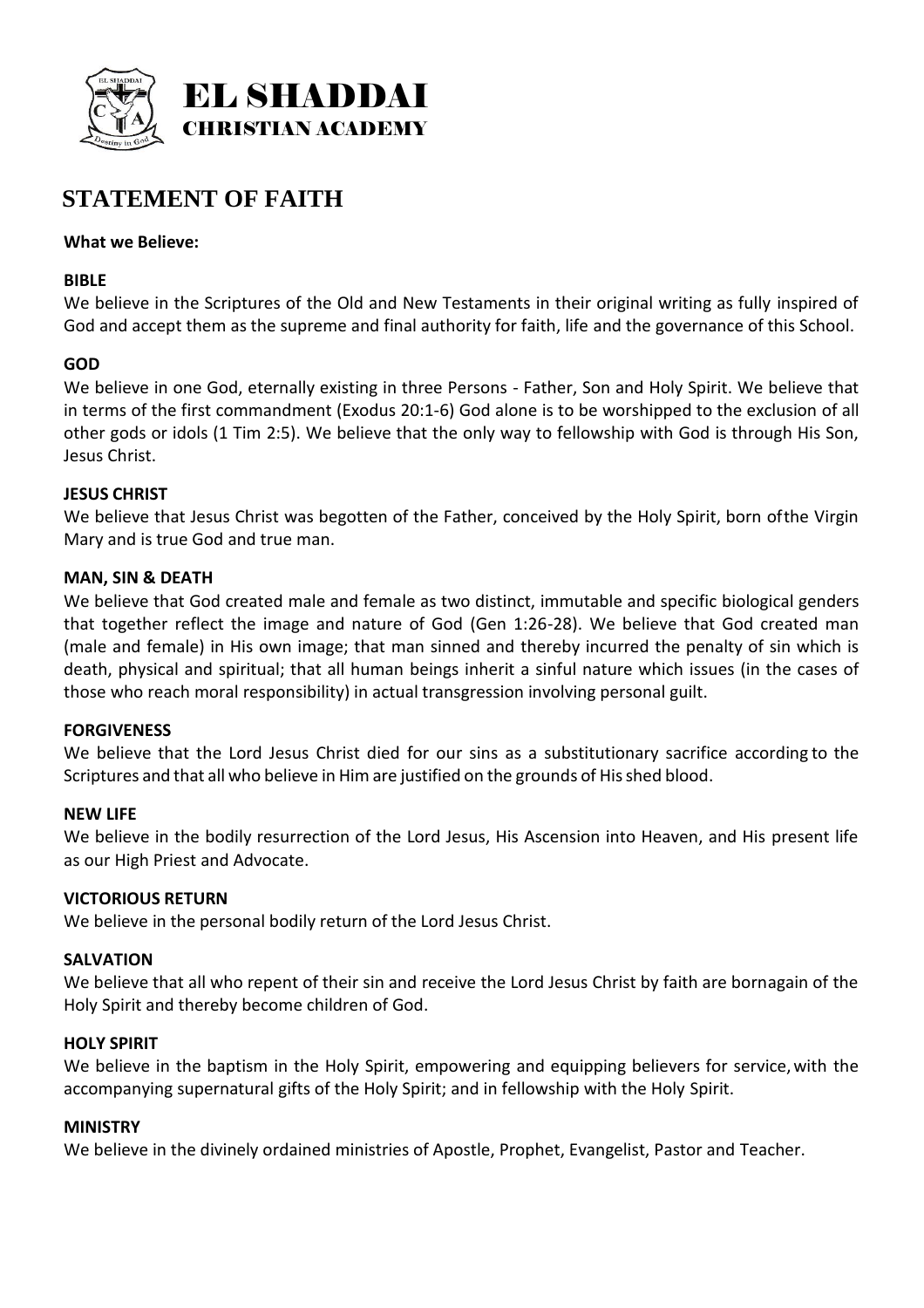

# **STATEMENT OF FAITH**

## **What we Believe:**

# **BIBLE**

We believe in the Scriptures of the Old and New Testaments in their original writing as fully inspired of God and accept them as the supreme and final authority for faith, life and the governance of this School.

# **GOD**

We believe in one God, eternally existing in three Persons - Father, Son and Holy Spirit. We believe that in terms of the first commandment (Exodus 20:1-6) God alone is to be worshipped to the exclusion of all other gods or idols (1 Tim 2:5). We believe that the only way to fellowship with God is through His Son, Jesus Christ.

## **JESUS CHRIST**

We believe that Jesus Christ was begotten of the Father, conceived by the Holy Spirit, born ofthe Virgin Mary and is true God and true man.

## **MAN, SIN & DEATH**

We believe that God created male and female as two distinct, immutable and specific biological genders that together reflect the image and nature of God (Gen 1:26-28). We believe that God created man (male and female) in His own image; that man sinned and thereby incurred the penalty of sin which is death, physical and spiritual; that all human beings inherit a sinful nature which issues (in the cases of those who reach moral responsibility) in actual transgression involving personal guilt.

## **FORGIVENESS**

We believe that the Lord Jesus Christ died for our sins as a substitutionary sacrifice according to the Scriptures and that all who believe in Him are justified on the grounds of His shed blood.

## **NEW LIFE**

We believe in the bodily resurrection of the Lord Jesus, His Ascension into Heaven, and His present life as our High Priest and Advocate.

## **VICTORIOUS RETURN**

We believe in the personal bodily return of the Lord Jesus Christ.

## **SALVATION**

We believe that all who repent of their sin and receive the Lord Jesus Christ by faith are bornagain of the Holy Spirit and thereby become children of God.

## **HOLY SPIRIT**

We believe in the baptism in the Holy Spirit, empowering and equipping believers for service,with the accompanying supernatural gifts of the Holy Spirit; and in fellowship with the Holy Spirit.

## **MINISTRY**

We believe in the divinely ordained ministries of Apostle, Prophet, Evangelist, Pastor and Teacher.